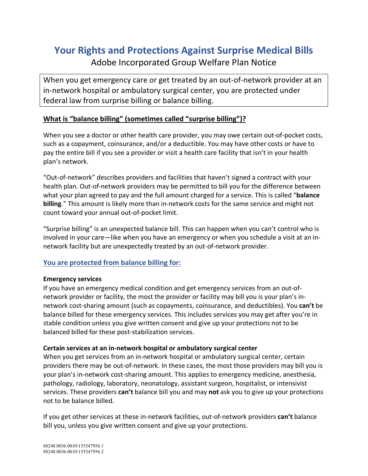# **Your Rights and Protections Against Surprise Medical Bills** Adobe Incorporated Group Welfare Plan Notice

When you get emergency care or get treated by an out-of-network provider at an in-network hospital or ambulatory surgical center, you are protected under federal law from surprise billing or balance billing.

## **What is "balance billing" (sometimes called "surprise billing")?**

When you see a doctor or other health care provider, you may owe certain out-of-pocket costs, such as a copayment, coinsurance, and/or a deductible. You may have other costs or have to pay the entire bill if you see a provider or visit a health care facility that isn't in your health plan's network.

"Out-of-network" describes providers and facilities that haven't signed a contract with your health plan. Out-of-network providers may be permitted to bill you for the difference between what your plan agreed to pay and the full amount charged for a service. This is called "**balance billing**." This amount is likely more than in-network costs for the same service and might not count toward your annual out-of-pocket limit.

"Surprise billing" is an unexpected balance bill. This can happen when you can't control who is involved in your care—like when you have an emergency or when you schedule a visit at an innetwork facility but are unexpectedly treated by an out-of-network provider.

## **You are protected from balance billing for:**

### **Emergency services**

If you have an emergency medical condition and get emergency services from an out-ofnetwork provider or facility, the most the provider or facility may bill you is your plan's innetwork cost-sharing amount (such as copayments, coinsurance, and deductibles). You **can't** be balance billed for these emergency services. This includes services you may get after you're in stable condition unless you give written consent and give up your protections not to be balanced billed for these post-stabilization services.

### **Certain services at an in-network hospital or ambulatory surgical center**

When you get services from an in-network hospital or ambulatory surgical center, certain providers there may be out-of-network. In these cases, the most those providers may bill you is your plan's in-network cost-sharing amount. This applies to emergency medicine, anesthesia, pathology, radiology, laboratory, neonatology, assistant surgeon, hospitalist, or intensivist services. These providers **can't** balance bill you and may **not** ask you to give up your protections not to be balance billed.

If you get other services at these in-network facilities, out-of-network providers **can't** balance bill you, unless you give written consent and give up your protections.